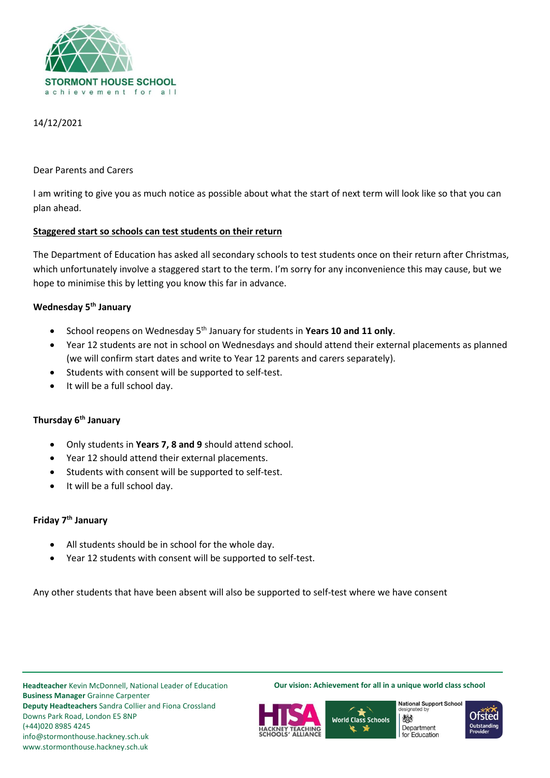

## 14/12/2021

### Dear Parents and Carers

I am writing to give you as much notice as possible about what the start of next term will look like so that you can plan ahead.

### **Staggered start so schools can test students on their return**

The Department of Education has asked all secondary schools to test students once on their return after Christmas, which unfortunately involve a staggered start to the term. I'm sorry for any inconvenience this may cause, but we hope to minimise this by letting you know this far in advance.

# **Wednesday 5th January**

- School reopens on Wednesday 5th January for students in **Years 10 and 11 only**.
- Year 12 students are not in school on Wednesdays and should attend their external placements as planned (we will confirm start dates and write to Year 12 parents and carers separately).
- Students with consent will be supported to self-test.
- It will be a full school day.

# **Thursday 6th January**

- Only students in **Years 7, 8 and 9** should attend school.
- Year 12 should attend their external placements.
- Students with consent will be supported to self-test.
- It will be a full school day.

## **Friday 7th January**

- All students should be in school for the whole day.
- Year 12 students with consent will be supported to self-test.

Any other students that have been absent will also be supported to self-test where we have consent

**Headteacher** Kevin McDonnell, National Leader of Education **Business Manager** Grainne Carpenter **Deputy Headteachers** Sandra Collier and Fiona Crossland Downs Park Road, London E5 8NP (+44)020 8985 4245 info@stormonthouse.hackney.sch.uk www.stormonthouse.hackney.sch.uk

**Our vision: Achievement for all in a unique world class school**





**National Support School** designated by 炒 Department for Education